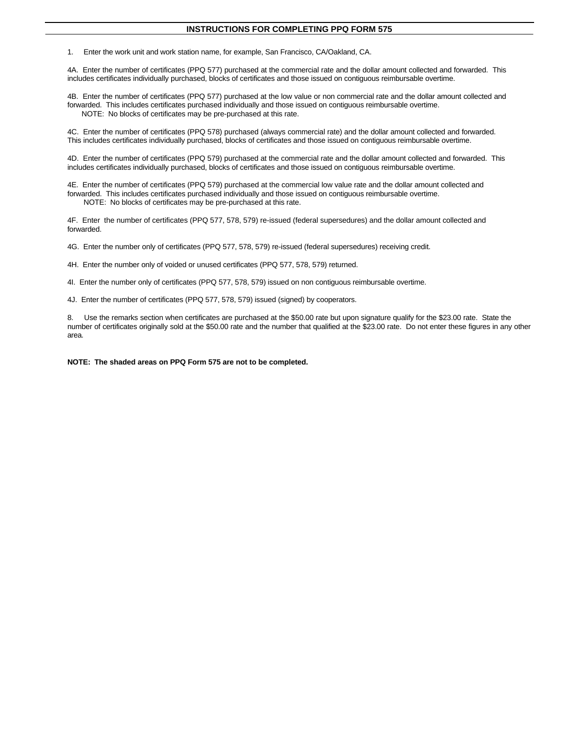## **INSTRUCTIONS FOR COMPLETING PPQ FORM 575**

1. Enter the work unit and work station name, for example, San Francisco, CA/Oakland, CA.

4A. Enter the number of certificates (PPQ 577) purchased at the commercial rate and the dollar amount collected and forwarded. This includes certificates individually purchased, blocks of certificates and those issued on contiguous reimbursable overtime.

4B. Enter the number of certificates (PPQ 577) purchased at the low value or non commercial rate and the dollar amount collected and forwarded. This includes certificates purchased individually and those issued on contiguous reimbursable overtime. NOTE: No blocks of certificates may be pre-purchased at this rate.

4C. Enter the number of certificates (PPQ 578) purchased (always commercial rate) and the dollar amount collected and forwarded. This includes certificates individually purchased, blocks of certificates and those issued on contiguous reimbursable overtime.

4D. Enter the number of certificates (PPQ 579) purchased at the commercial rate and the dollar amount collected and forwarded. This includes certificates individually purchased, blocks of certificates and those issued on contiguous reimbursable overtime.

4E. Enter the number of certificates (PPQ 579) purchased at the commercial low value rate and the dollar amount collected and forwarded. This includes certificates purchased individually and those issued on contiguous reimbursable overtime. NOTE: No blocks of certificates may be pre-purchased at this rate.

4F. Enter the number of certificates (PPQ 577, 578, 579) re-issued (federal supersedures) and the dollar amount collected and forwarded.

4G. Enter the number only of certificates (PPQ 577, 578, 579) re-issued (federal supersedures) receiving credit.

4H. Enter the number only of voided or unused certificates (PPQ 577, 578, 579) returned.

4I. Enter the number only of certificates (PPQ 577, 578, 579) issued on non contiguous reimbursable overtime.

4J. Enter the number of certificates (PPQ 577, 578, 579) issued (signed) by cooperators.

8. Use the remarks section when certificates are purchased at the \$50.00 rate but upon signature qualify for the \$23.00 rate. State the number of certificates originally sold at the \$50.00 rate and the number that qualified at the \$23.00 rate. Do not enter these figures in any other area.

**NOTE: The shaded areas on PPQ Form 575 are not to be completed.**